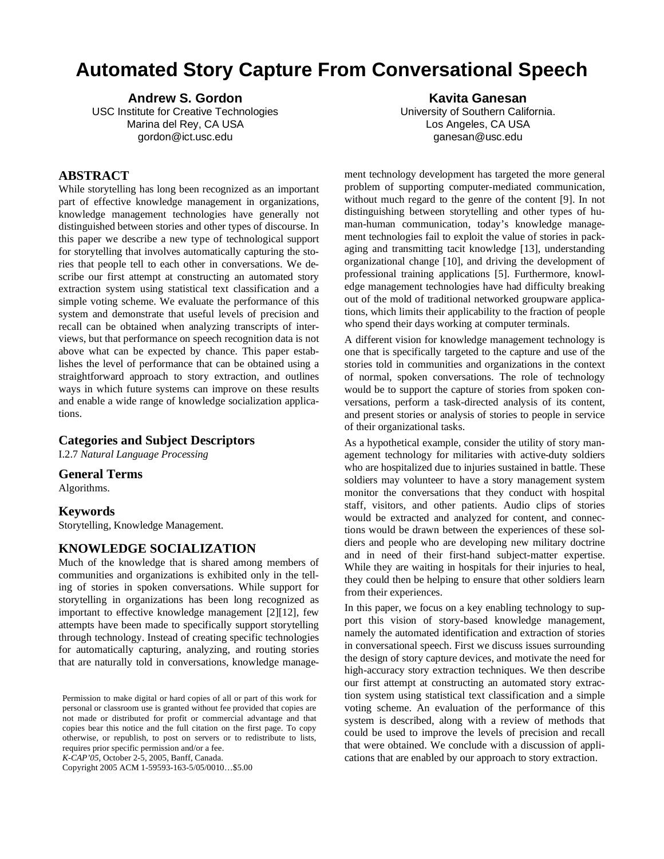# **Automated Story Capture From Conversational Speech**

**Andrew S. Gordon**  USC Institute for Creative Technologies Marina del Rey, CA USA gordon@ict.usc.edu

# **ABSTRACT**

While storytelling has long been recognized as an important part of effective knowledge management in organizations, knowledge management technologies have generally not distinguished between stories and other types of discourse. In this paper we describe a new type of technological support for storytelling that involves automatically capturing the stories that people tell to each other in conversations. We describe our first attempt at constructing an automated story extraction system using statistical text classification and a simple voting scheme. We evaluate the performance of this system and demonstrate that useful levels of precision and recall can be obtained when analyzing transcripts of interviews, but that performance on speech recognition data is not above what can be expected by chance. This paper establishes the level of performance that can be obtained using a straightforward approach to story extraction, and outlines ways in which future systems can improve on these results and enable a wide range of knowledge socialization applications.

### **Categories and Subject Descriptors**

I.2.7 *Natural Language Processing*

#### **General Terms**

Algorithms.

#### **Keywords**

Storytelling, Knowledge Management.

## **KNOWLEDGE SOCIALIZATION**

Much of the knowledge that is shared among members of communities and organizations is exhibited only in the telling of stories in spoken conversations. While support for storytelling in organizations has been long recognized as important to effective knowledge management [2][12], few attempts have been made to specifically support storytelling through technology. Instead of creating specific technologies for automatically capturing, analyzing, and routing stories that are naturally told in conversations, knowledge manage-

*K-CAP'05*, October 2-5, 2005, Banff, Canada.

Copyright 2005 ACM 1-59593-163-5/05/0010…\$5.00

# **Kavita Ganesan**

University of Southern California. Los Angeles, CA USA ganesan@usc.edu

ment technology development has targeted the more general problem of supporting computer-mediated communication, without much regard to the genre of the content [9]. In not distinguishing between storytelling and other types of human-human communication, today's knowledge management technologies fail to exploit the value of stories in packaging and transmitting tacit knowledge [13], understanding organizational change [10], and driving the development of professional training applications [5]. Furthermore, knowledge management technologies have had difficulty breaking out of the mold of traditional networked groupware applications, which limits their applicability to the fraction of people who spend their days working at computer terminals.

A different vision for knowledge management technology is one that is specifically targeted to the capture and use of the stories told in communities and organizations in the context of normal, spoken conversations. The role of technology would be to support the capture of stories from spoken conversations, perform a task-directed analysis of its content, and present stories or analysis of stories to people in service of their organizational tasks.

As a hypothetical example, consider the utility of story management technology for militaries with active-duty soldiers who are hospitalized due to injuries sustained in battle. These soldiers may volunteer to have a story management system monitor the conversations that they conduct with hospital staff, visitors, and other patients. Audio clips of stories would be extracted and analyzed for content, and connections would be drawn between the experiences of these soldiers and people who are developing new military doctrine and in need of their first-hand subject-matter expertise. While they are waiting in hospitals for their injuries to heal, they could then be helping to ensure that other soldiers learn from their experiences.

In this paper, we focus on a key enabling technology to support this vision of story-based knowledge management, namely the automated identification and extraction of stories in conversational speech. First we discuss issues surrounding the design of story capture devices, and motivate the need for high-accuracy story extraction techniques. We then describe our first attempt at constructing an automated story extraction system using statistical text classification and a simple voting scheme. An evaluation of the performance of this system is described, along with a review of methods that could be used to improve the levels of precision and recall that were obtained. We conclude with a discussion of applications that are enabled by our approach to story extraction.

Permission to make digital or hard copies of all or part of this work for personal or classroom use is granted without fee provided that copies are not made or distributed for profit or commercial advantage and that copies bear this notice and the full citation on the first page. To copy otherwise, or republish, to post on servers or to redistribute to lists, requires prior specific permission and/or a fee.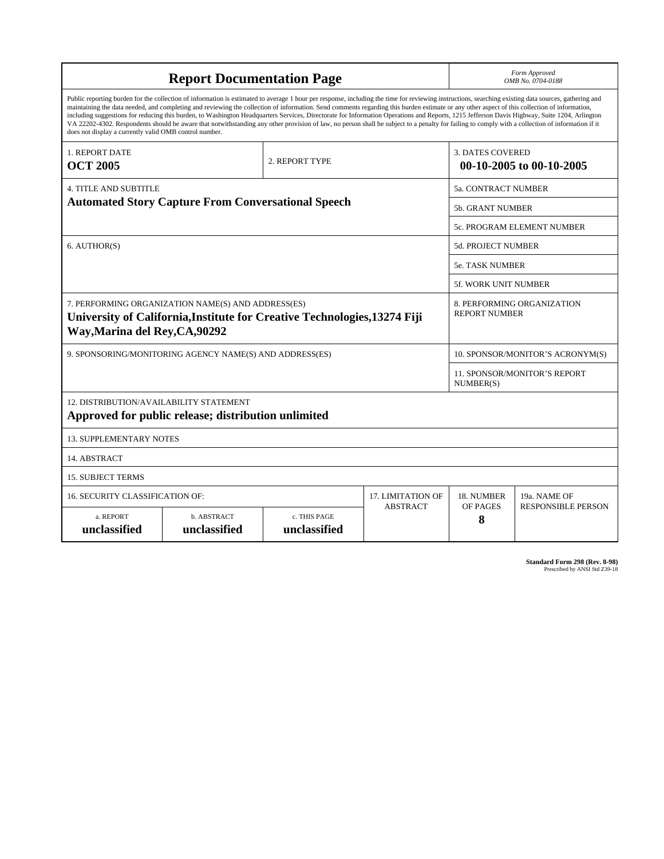| <b>Report Documentation Page</b>                                                                                                                                                                                                                                                                                                                                                                                                                                                                                                                                                                                                                                                                                                                                                                                                                                   |                             |                              |                 | Form Approved<br>OMB No. 0704-0188                  |                           |  |
|--------------------------------------------------------------------------------------------------------------------------------------------------------------------------------------------------------------------------------------------------------------------------------------------------------------------------------------------------------------------------------------------------------------------------------------------------------------------------------------------------------------------------------------------------------------------------------------------------------------------------------------------------------------------------------------------------------------------------------------------------------------------------------------------------------------------------------------------------------------------|-----------------------------|------------------------------|-----------------|-----------------------------------------------------|---------------------------|--|
| Public reporting burden for the collection of information is estimated to average 1 hour per response, including the time for reviewing instructions, searching existing data sources, gathering and<br>maintaining the data needed, and completing and reviewing the collection of information. Send comments regarding this burden estimate or any other aspect of this collection of information,<br>including suggestions for reducing this burden, to Washington Headquarters Services, Directorate for Information Operations and Reports, 1215 Jefferson Davis Highway, Suite 1204, Arlington<br>VA 22202-4302. Respondents should be aware that notwithstanding any other provision of law, no person shall be subject to a penalty for failing to comply with a collection of information if it<br>does not display a currently valid OMB control number. |                             |                              |                 |                                                     |                           |  |
| 1. REPORT DATE<br><b>OCT 2005</b>                                                                                                                                                                                                                                                                                                                                                                                                                                                                                                                                                                                                                                                                                                                                                                                                                                  |                             | 2. REPORT TYPE               |                 | <b>3. DATES COVERED</b><br>00-10-2005 to 00-10-2005 |                           |  |
| <b>4. TITLE AND SUBTITLE</b>                                                                                                                                                                                                                                                                                                                                                                                                                                                                                                                                                                                                                                                                                                                                                                                                                                       |                             |                              |                 | <b>5a. CONTRACT NUMBER</b>                          |                           |  |
| <b>Automated Story Capture From Conversational Speech</b>                                                                                                                                                                                                                                                                                                                                                                                                                                                                                                                                                                                                                                                                                                                                                                                                          |                             |                              |                 | <b>5b. GRANT NUMBER</b>                             |                           |  |
|                                                                                                                                                                                                                                                                                                                                                                                                                                                                                                                                                                                                                                                                                                                                                                                                                                                                    |                             |                              |                 | 5c. PROGRAM ELEMENT NUMBER                          |                           |  |
| 6. AUTHOR(S)                                                                                                                                                                                                                                                                                                                                                                                                                                                                                                                                                                                                                                                                                                                                                                                                                                                       |                             |                              |                 | <b>5d. PROJECT NUMBER</b>                           |                           |  |
|                                                                                                                                                                                                                                                                                                                                                                                                                                                                                                                                                                                                                                                                                                                                                                                                                                                                    |                             |                              |                 | <b>5e. TASK NUMBER</b>                              |                           |  |
|                                                                                                                                                                                                                                                                                                                                                                                                                                                                                                                                                                                                                                                                                                                                                                                                                                                                    |                             |                              |                 | <b>5f. WORK UNIT NUMBER</b>                         |                           |  |
| 7. PERFORMING ORGANIZATION NAME(S) AND ADDRESS(ES)<br>University of California, Institute for Creative Technologies, 13274 Fiji<br>Way, Marina del Rey, CA, 90292                                                                                                                                                                                                                                                                                                                                                                                                                                                                                                                                                                                                                                                                                                  |                             |                              |                 | 8. PERFORMING ORGANIZATION<br><b>REPORT NUMBER</b>  |                           |  |
| 9. SPONSORING/MONITORING AGENCY NAME(S) AND ADDRESS(ES)                                                                                                                                                                                                                                                                                                                                                                                                                                                                                                                                                                                                                                                                                                                                                                                                            |                             |                              |                 | 10. SPONSOR/MONITOR'S ACRONYM(S)                    |                           |  |
|                                                                                                                                                                                                                                                                                                                                                                                                                                                                                                                                                                                                                                                                                                                                                                                                                                                                    |                             |                              |                 | <b>11. SPONSOR/MONITOR'S REPORT</b><br>NUMBER(S)    |                           |  |
| 12. DISTRIBUTION/AVAILABILITY STATEMENT<br>Approved for public release; distribution unlimited                                                                                                                                                                                                                                                                                                                                                                                                                                                                                                                                                                                                                                                                                                                                                                     |                             |                              |                 |                                                     |                           |  |
| <b>13. SUPPLEMENTARY NOTES</b>                                                                                                                                                                                                                                                                                                                                                                                                                                                                                                                                                                                                                                                                                                                                                                                                                                     |                             |                              |                 |                                                     |                           |  |
| 14. ABSTRACT                                                                                                                                                                                                                                                                                                                                                                                                                                                                                                                                                                                                                                                                                                                                                                                                                                                       |                             |                              |                 |                                                     |                           |  |
| <b>15. SUBJECT TERMS</b>                                                                                                                                                                                                                                                                                                                                                                                                                                                                                                                                                                                                                                                                                                                                                                                                                                           |                             |                              |                 |                                                     |                           |  |
| 16. SECURITY CLASSIFICATION OF:                                                                                                                                                                                                                                                                                                                                                                                                                                                                                                                                                                                                                                                                                                                                                                                                                                    | <b>17. LIMITATION OF</b>    | 18. NUMBER                   | 19a. NAME OF    |                                                     |                           |  |
| a. REPORT<br>unclassified                                                                                                                                                                                                                                                                                                                                                                                                                                                                                                                                                                                                                                                                                                                                                                                                                                          | b. ABSTRACT<br>unclassified | c. THIS PAGE<br>unclassified | <b>ABSTRACT</b> | OF PAGES<br>8                                       | <b>RESPONSIBLE PERSON</b> |  |

**Standard Form 298 (Rev. 8-98)**<br>Prescribed by ANSI Std Z39-18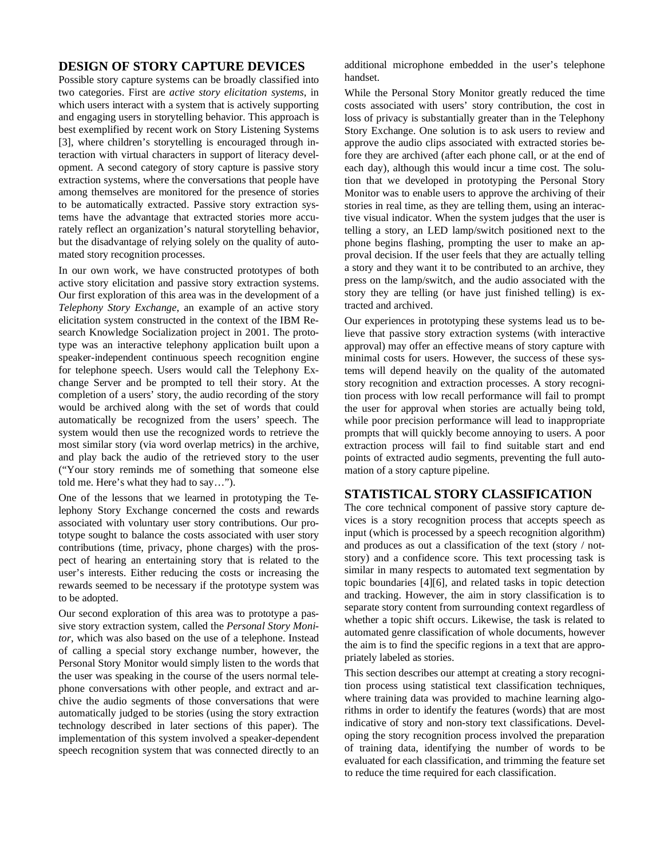## **DESIGN OF STORY CAPTURE DEVICES**

Possible story capture systems can be broadly classified into two categories. First are *active story elicitation systems*, in which users interact with a system that is actively supporting and engaging users in storytelling behavior. This approach is best exemplified by recent work on Story Listening Systems [3], where children's storytelling is encouraged through interaction with virtual characters in support of literacy development. A second category of story capture is passive story extraction systems, where the conversations that people have among themselves are monitored for the presence of stories to be automatically extracted. Passive story extraction systems have the advantage that extracted stories more accurately reflect an organization's natural storytelling behavior, but the disadvantage of relying solely on the quality of automated story recognition processes.

In our own work, we have constructed prototypes of both active story elicitation and passive story extraction systems. Our first exploration of this area was in the development of a *Telephony Story Exchange*, an example of an active story elicitation system constructed in the context of the IBM Research Knowledge Socialization project in 2001. The prototype was an interactive telephony application built upon a speaker-independent continuous speech recognition engine for telephone speech. Users would call the Telephony Exchange Server and be prompted to tell their story. At the completion of a users' story, the audio recording of the story would be archived along with the set of words that could automatically be recognized from the users' speech. The system would then use the recognized words to retrieve the most similar story (via word overlap metrics) in the archive, and play back the audio of the retrieved story to the user ("Your story reminds me of something that someone else told me. Here's what they had to say…").

One of the lessons that we learned in prototyping the Telephony Story Exchange concerned the costs and rewards associated with voluntary user story contributions. Our prototype sought to balance the costs associated with user story contributions (time, privacy, phone charges) with the prospect of hearing an entertaining story that is related to the user's interests. Either reducing the costs or increasing the rewards seemed to be necessary if the prototype system was to be adopted.

Our second exploration of this area was to prototype a passive story extraction system, called the *Personal Story Monitor*, which was also based on the use of a telephone. Instead of calling a special story exchange number, however, the Personal Story Monitor would simply listen to the words that the user was speaking in the course of the users normal telephone conversations with other people, and extract and archive the audio segments of those conversations that were automatically judged to be stories (using the story extraction technology described in later sections of this paper). The implementation of this system involved a speaker-dependent speech recognition system that was connected directly to an

additional microphone embedded in the user's telephone handset.

While the Personal Story Monitor greatly reduced the time costs associated with users' story contribution, the cost in loss of privacy is substantially greater than in the Telephony Story Exchange. One solution is to ask users to review and approve the audio clips associated with extracted stories before they are archived (after each phone call, or at the end of each day), although this would incur a time cost. The solution that we developed in prototyping the Personal Story Monitor was to enable users to approve the archiving of their stories in real time, as they are telling them, using an interactive visual indicator. When the system judges that the user is telling a story, an LED lamp/switch positioned next to the phone begins flashing, prompting the user to make an approval decision. If the user feels that they are actually telling a story and they want it to be contributed to an archive, they press on the lamp/switch, and the audio associated with the story they are telling (or have just finished telling) is extracted and archived.

Our experiences in prototyping these systems lead us to believe that passive story extraction systems (with interactive approval) may offer an effective means of story capture with minimal costs for users. However, the success of these systems will depend heavily on the quality of the automated story recognition and extraction processes. A story recognition process with low recall performance will fail to prompt the user for approval when stories are actually being told, while poor precision performance will lead to inappropriate prompts that will quickly become annoying to users. A poor extraction process will fail to find suitable start and end points of extracted audio segments, preventing the full automation of a story capture pipeline.

#### **STATISTICAL STORY CLASSIFICATION**

The core technical component of passive story capture devices is a story recognition process that accepts speech as input (which is processed by a speech recognition algorithm) and produces as out a classification of the text (story / notstory) and a confidence score. This text processing task is similar in many respects to automated text segmentation by topic boundaries [4][6], and related tasks in topic detection and tracking. However, the aim in story classification is to separate story content from surrounding context regardless of whether a topic shift occurs. Likewise, the task is related to automated genre classification of whole documents, however the aim is to find the specific regions in a text that are appropriately labeled as stories.

This section describes our attempt at creating a story recognition process using statistical text classification techniques, where training data was provided to machine learning algorithms in order to identify the features (words) that are most indicative of story and non-story text classifications. Developing the story recognition process involved the preparation of training data, identifying the number of words to be evaluated for each classification, and trimming the feature set to reduce the time required for each classification.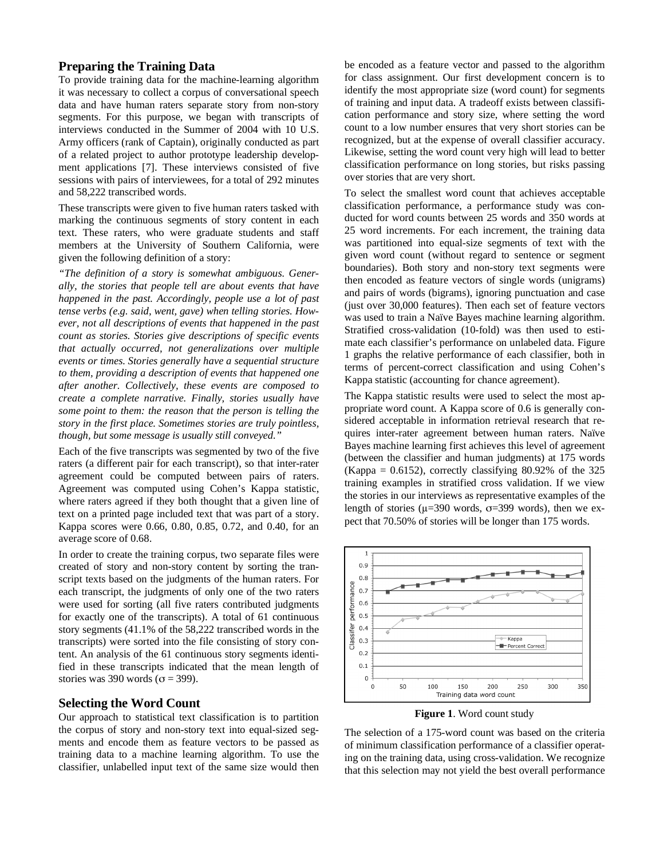#### **Preparing the Training Data**

To provide training data for the machine-learning algorithm it was necessary to collect a corpus of conversational speech data and have human raters separate story from non-story segments. For this purpose, we began with transcripts of interviews conducted in the Summer of 2004 with 10 U.S. Army officers (rank of Captain), originally conducted as part of a related project to author prototype leadership development applications [7]. These interviews consisted of five sessions with pairs of interviewees, for a total of 292 minutes and 58,222 transcribed words.

These transcripts were given to five human raters tasked with marking the continuous segments of story content in each text. These raters, who were graduate students and staff members at the University of Southern California, were given the following definition of a story:

*"The definition of a story is somewhat ambiguous. Generally, the stories that people tell are about events that have happened in the past. Accordingly, people use a lot of past tense verbs (e.g. said, went, gave) when telling stories. However, not all descriptions of events that happened in the past count as stories. Stories give descriptions of specific events that actually occurred, not generalizations over multiple events or times. Stories generally have a sequential structure to them, providing a description of events that happened one after another. Collectively, these events are composed to create a complete narrative. Finally, stories usually have some point to them: the reason that the person is telling the story in the first place. Sometimes stories are truly pointless, though, but some message is usually still conveyed."* 

Each of the five transcripts was segmented by two of the five raters (a different pair for each transcript), so that inter-rater agreement could be computed between pairs of raters. Agreement was computed using Cohen's Kappa statistic, where raters agreed if they both thought that a given line of text on a printed page included text that was part of a story. Kappa scores were 0.66, 0.80, 0.85, 0.72, and 0.40, for an average score of 0.68.

In order to create the training corpus, two separate files were created of story and non-story content by sorting the transcript texts based on the judgments of the human raters. For each transcript, the judgments of only one of the two raters were used for sorting (all five raters contributed judgments for exactly one of the transcripts). A total of 61 continuous story segments (41.1% of the 58,222 transcribed words in the transcripts) were sorted into the file consisting of story content. An analysis of the 61 continuous story segments identified in these transcripts indicated that the mean length of stories was 390 words ( $\sigma$  = 399).

#### **Selecting the Word Count**

Our approach to statistical text classification is to partition the corpus of story and non-story text into equal-sized segments and encode them as feature vectors to be passed as training data to a machine learning algorithm. To use the classifier, unlabelled input text of the same size would then be encoded as a feature vector and passed to the algorithm for class assignment. Our first development concern is to identify the most appropriate size (word count) for segments of training and input data. A tradeoff exists between classification performance and story size, where setting the word count to a low number ensures that very short stories can be recognized, but at the expense of overall classifier accuracy. Likewise, setting the word count very high will lead to better classification performance on long stories, but risks passing over stories that are very short.

To select the smallest word count that achieves acceptable classification performance, a performance study was conducted for word counts between 25 words and 350 words at 25 word increments. For each increment, the training data was partitioned into equal-size segments of text with the given word count (without regard to sentence or segment boundaries). Both story and non-story text segments were then encoded as feature vectors of single words (unigrams) and pairs of words (bigrams), ignoring punctuation and case (just over 30,000 features). Then each set of feature vectors was used to train a Naïve Bayes machine learning algorithm. Stratified cross-validation (10-fold) was then used to estimate each classifier's performance on unlabeled data. Figure 1 graphs the relative performance of each classifier, both in terms of percent-correct classification and using Cohen's Kappa statistic (accounting for chance agreement).

The Kappa statistic results were used to select the most appropriate word count. A Kappa score of 0.6 is generally considered acceptable in information retrieval research that requires inter-rater agreement between human raters. Naïve Bayes machine learning first achieves this level of agreement (between the classifier and human judgments) at 175 words (Kappa =  $0.6152$ ), correctly classifying 80.92% of the 325 training examples in stratified cross validation. If we view the stories in our interviews as representative examples of the length of stories ( $\mu$ =390 words,  $\sigma$ =399 words), then we expect that 70.50% of stories will be longer than 175 words.



**Figure 1**. Word count study

The selection of a 175-word count was based on the criteria of minimum classification performance of a classifier operating on the training data, using cross-validation. We recognize that this selection may not yield the best overall performance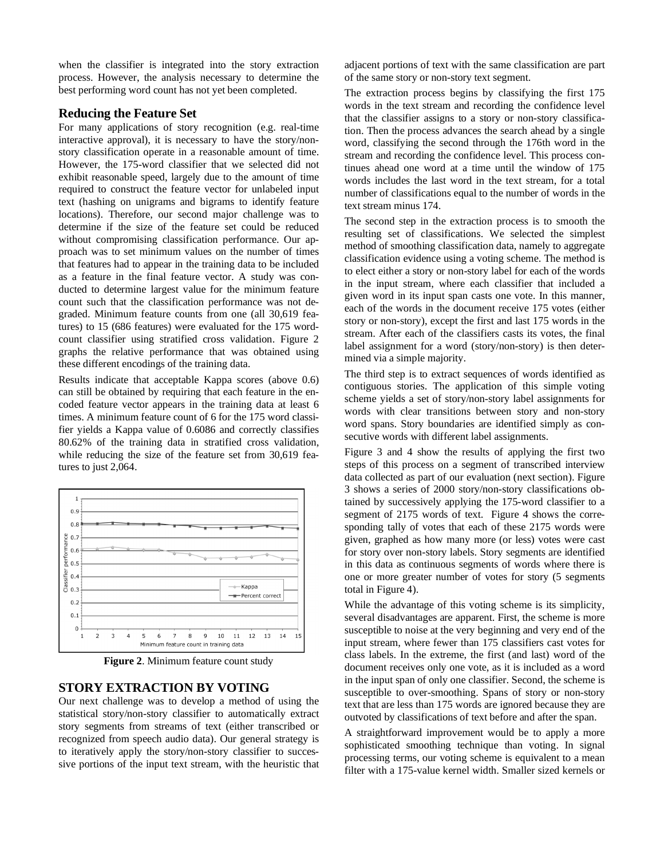when the classifier is integrated into the story extraction process. However, the analysis necessary to determine the best performing word count has not yet been completed.

#### **Reducing the Feature Set**

For many applications of story recognition (e.g. real-time interactive approval), it is necessary to have the story/nonstory classification operate in a reasonable amount of time. However, the 175-word classifier that we selected did not exhibit reasonable speed, largely due to the amount of time required to construct the feature vector for unlabeled input text (hashing on unigrams and bigrams to identify feature locations). Therefore, our second major challenge was to determine if the size of the feature set could be reduced without compromising classification performance. Our approach was to set minimum values on the number of times that features had to appear in the training data to be included as a feature in the final feature vector. A study was conducted to determine largest value for the minimum feature count such that the classification performance was not degraded. Minimum feature counts from one (all 30,619 features) to 15 (686 features) were evaluated for the 175 wordcount classifier using stratified cross validation. Figure 2 graphs the relative performance that was obtained using these different encodings of the training data.

Results indicate that acceptable Kappa scores (above 0.6) can still be obtained by requiring that each feature in the encoded feature vector appears in the training data at least 6 times. A minimum feature count of 6 for the 175 word classifier yields a Kappa value of 0.6086 and correctly classifies 80.62% of the training data in stratified cross validation, while reducing the size of the feature set from 30,619 features to just 2,064.



**Figure 2**. Minimum feature count study

# **STORY EXTRACTION BY VOTING**

Our next challenge was to develop a method of using the statistical story/non-story classifier to automatically extract story segments from streams of text (either transcribed or recognized from speech audio data). Our general strategy is to iteratively apply the story/non-story classifier to successive portions of the input text stream, with the heuristic that adjacent portions of text with the same classification are part of the same story or non-story text segment.

The extraction process begins by classifying the first 175 words in the text stream and recording the confidence level that the classifier assigns to a story or non-story classification. Then the process advances the search ahead by a single word, classifying the second through the 176th word in the stream and recording the confidence level. This process continues ahead one word at a time until the window of 175 words includes the last word in the text stream, for a total number of classifications equal to the number of words in the text stream minus 174.

The second step in the extraction process is to smooth the resulting set of classifications. We selected the simplest method of smoothing classification data, namely to aggregate classification evidence using a voting scheme. The method is to elect either a story or non-story label for each of the words in the input stream, where each classifier that included a given word in its input span casts one vote. In this manner, each of the words in the document receive 175 votes (either story or non-story), except the first and last 175 words in the stream. After each of the classifiers casts its votes, the final label assignment for a word (story/non-story) is then determined via a simple majority.

The third step is to extract sequences of words identified as contiguous stories. The application of this simple voting scheme yields a set of story/non-story label assignments for words with clear transitions between story and non-story word spans. Story boundaries are identified simply as consecutive words with different label assignments.

Figure 3 and 4 show the results of applying the first two steps of this process on a segment of transcribed interview data collected as part of our evaluation (next section). Figure 3 shows a series of 2000 story/non-story classifications obtained by successively applying the 175-word classifier to a segment of 2175 words of text. Figure 4 shows the corresponding tally of votes that each of these 2175 words were given, graphed as how many more (or less) votes were cast for story over non-story labels. Story segments are identified in this data as continuous segments of words where there is one or more greater number of votes for story (5 segments total in Figure 4).

While the advantage of this voting scheme is its simplicity, several disadvantages are apparent. First, the scheme is more susceptible to noise at the very beginning and very end of the input stream, where fewer than 175 classifiers cast votes for class labels. In the extreme, the first (and last) word of the document receives only one vote, as it is included as a word in the input span of only one classifier. Second, the scheme is susceptible to over-smoothing. Spans of story or non-story text that are less than 175 words are ignored because they are outvoted by classifications of text before and after the span.

A straightforward improvement would be to apply a more sophisticated smoothing technique than voting. In signal processing terms, our voting scheme is equivalent to a mean filter with a 175-value kernel width. Smaller sized kernels or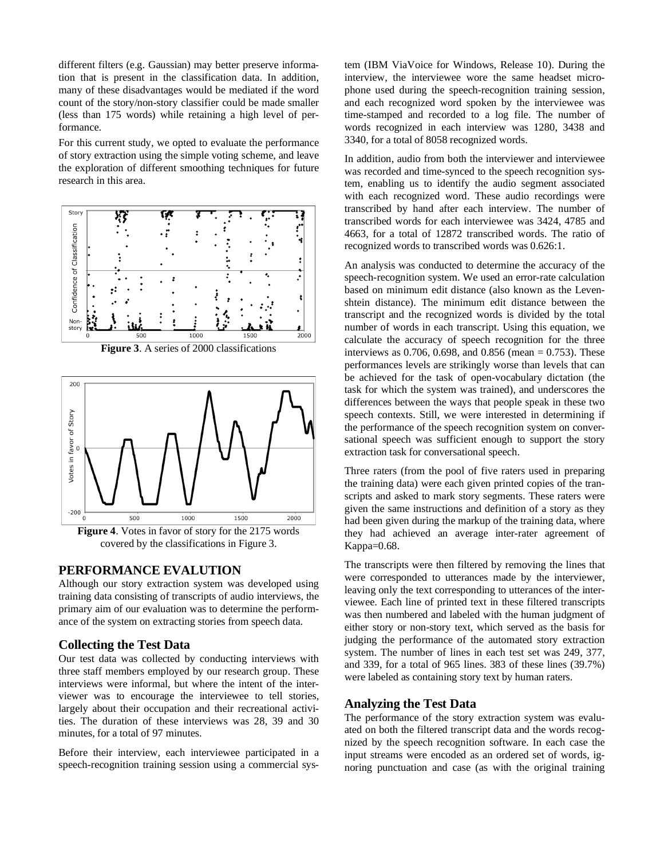different filters (e.g. Gaussian) may better preserve information that is present in the classification data. In addition, many of these disadvantages would be mediated if the word count of the story/non-story classifier could be made smaller (less than 175 words) while retaining a high level of performance.

For this current study, we opted to evaluate the performance of story extraction using the simple voting scheme, and leave the exploration of different smoothing techniques for future research in this area.



**Figure 3**. A series of 2000 classifications



covered by the classifications in Figure 3.

#### **PERFORMANCE EVALUTION**

Although our story extraction system was developed using training data consisting of transcripts of audio interviews, the primary aim of our evaluation was to determine the performance of the system on extracting stories from speech data.

#### **Collecting the Test Data**

Our test data was collected by conducting interviews with three staff members employed by our research group. These interviews were informal, but where the intent of the interviewer was to encourage the interviewee to tell stories, largely about their occupation and their recreational activities. The duration of these interviews was 28, 39 and 30 minutes, for a total of 97 minutes.

Before their interview, each interviewee participated in a speech-recognition training session using a commercial system (IBM ViaVoice for Windows, Release 10). During the interview, the interviewee wore the same headset microphone used during the speech-recognition training session, and each recognized word spoken by the interviewee was time-stamped and recorded to a log file. The number of words recognized in each interview was 1280, 3438 and 3340, for a total of 8058 recognized words.

In addition, audio from both the interviewer and interviewee was recorded and time-synced to the speech recognition system, enabling us to identify the audio segment associated with each recognized word. These audio recordings were transcribed by hand after each interview. The number of transcribed words for each interviewee was 3424, 4785 and 4663, for a total of 12872 transcribed words. The ratio of recognized words to transcribed words was 0.626:1.

An analysis was conducted to determine the accuracy of the speech-recognition system. We used an error-rate calculation based on minimum edit distance (also known as the Levenshtein distance). The minimum edit distance between the transcript and the recognized words is divided by the total number of words in each transcript. Using this equation, we calculate the accuracy of speech recognition for the three interviews as  $0.706$ ,  $0.698$ , and  $0.856$  (mean = 0.753). These performances levels are strikingly worse than levels that can be achieved for the task of open-vocabulary dictation (the task for which the system was trained), and underscores the differences between the ways that people speak in these two speech contexts. Still, we were interested in determining if the performance of the speech recognition system on conversational speech was sufficient enough to support the story extraction task for conversational speech.

Three raters (from the pool of five raters used in preparing the training data) were each given printed copies of the transcripts and asked to mark story segments. These raters were given the same instructions and definition of a story as they had been given during the markup of the training data, where they had achieved an average inter-rater agreement of Kappa=0.68.

The transcripts were then filtered by removing the lines that were corresponded to utterances made by the interviewer, leaving only the text corresponding to utterances of the interviewee. Each line of printed text in these filtered transcripts was then numbered and labeled with the human judgment of either story or non-story text, which served as the basis for judging the performance of the automated story extraction system. The number of lines in each test set was 249, 377, and 339, for a total of 965 lines. 383 of these lines (39.7%) were labeled as containing story text by human raters.

#### **Analyzing the Test Data**

The performance of the story extraction system was evaluated on both the filtered transcript data and the words recognized by the speech recognition software. In each case the input streams were encoded as an ordered set of words, ignoring punctuation and case (as with the original training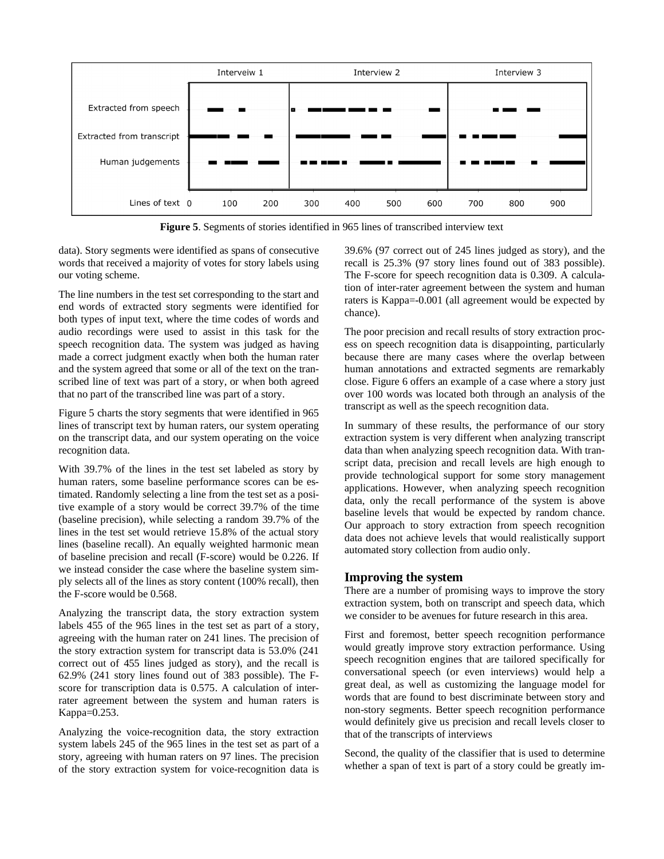

**Figure 5**. Segments of stories identified in 965 lines of transcribed interview text

data). Story segments were identified as spans of consecutive words that received a majority of votes for story labels using our voting scheme.

The line numbers in the test set corresponding to the start and end words of extracted story segments were identified for both types of input text, where the time codes of words and audio recordings were used to assist in this task for the speech recognition data. The system was judged as having made a correct judgment exactly when both the human rater and the system agreed that some or all of the text on the transcribed line of text was part of a story, or when both agreed that no part of the transcribed line was part of a story.

Figure 5 charts the story segments that were identified in 965 lines of transcript text by human raters, our system operating on the transcript data, and our system operating on the voice recognition data.

With 39.7% of the lines in the test set labeled as story by human raters, some baseline performance scores can be estimated. Randomly selecting a line from the test set as a positive example of a story would be correct 39.7% of the time (baseline precision), while selecting a random 39.7% of the lines in the test set would retrieve 15.8% of the actual story lines (baseline recall). An equally weighted harmonic mean of baseline precision and recall (F-score) would be 0.226. If we instead consider the case where the baseline system simply selects all of the lines as story content (100% recall), then the F-score would be 0.568.

Analyzing the transcript data, the story extraction system labels 455 of the 965 lines in the test set as part of a story, agreeing with the human rater on 241 lines. The precision of the story extraction system for transcript data is 53.0% (241 correct out of 455 lines judged as story), and the recall is 62.9% (241 story lines found out of 383 possible). The Fscore for transcription data is 0.575. A calculation of interrater agreement between the system and human raters is Kappa=0.253.

Analyzing the voice-recognition data, the story extraction system labels 245 of the 965 lines in the test set as part of a story, agreeing with human raters on 97 lines. The precision of the story extraction system for voice-recognition data is

39.6% (97 correct out of 245 lines judged as story), and the recall is 25.3% (97 story lines found out of 383 possible). The F-score for speech recognition data is 0.309. A calculation of inter-rater agreement between the system and human raters is Kappa=-0.001 (all agreement would be expected by chance).

The poor precision and recall results of story extraction process on speech recognition data is disappointing, particularly because there are many cases where the overlap between human annotations and extracted segments are remarkably close. Figure 6 offers an example of a case where a story just over 100 words was located both through an analysis of the transcript as well as the speech recognition data.

In summary of these results, the performance of our story extraction system is very different when analyzing transcript data than when analyzing speech recognition data. With transcript data, precision and recall levels are high enough to provide technological support for some story management applications. However, when analyzing speech recognition data, only the recall performance of the system is above baseline levels that would be expected by random chance. Our approach to story extraction from speech recognition data does not achieve levels that would realistically support automated story collection from audio only.

## **Improving the system**

There are a number of promising ways to improve the story extraction system, both on transcript and speech data, which we consider to be avenues for future research in this area.

First and foremost, better speech recognition performance would greatly improve story extraction performance. Using speech recognition engines that are tailored specifically for conversational speech (or even interviews) would help a great deal, as well as customizing the language model for words that are found to best discriminate between story and non-story segments. Better speech recognition performance would definitely give us precision and recall levels closer to that of the transcripts of interviews

Second, the quality of the classifier that is used to determine whether a span of text is part of a story could be greatly im-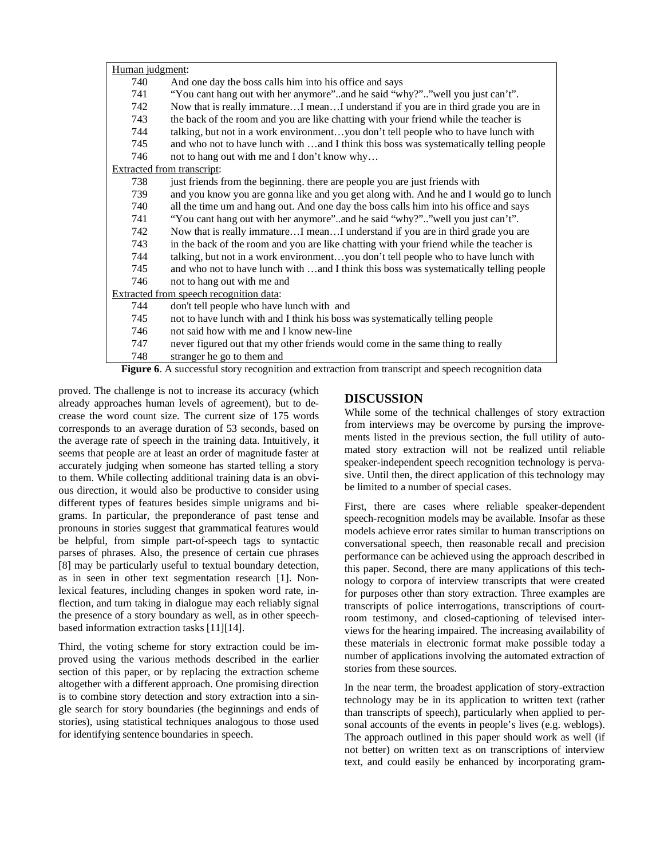| Human judgment:                                                                                     |  |  |  |
|-----------------------------------------------------------------------------------------------------|--|--|--|
| And one day the boss calls him into his office and says<br>740                                      |  |  |  |
| "You cant hang out with her anymore"and he said "why?""well you just can't".<br>741                 |  |  |  |
| Now that is really immatureI meanI understand if you are in third grade you are in<br>742           |  |  |  |
| the back of the room and you are like chatting with your friend while the teacher is<br>743         |  |  |  |
| talking, but not in a work environmentyou don't tell people who to have lunch with<br>744           |  |  |  |
| and who not to have lunch with and I think this boss was systematically telling people<br>745       |  |  |  |
| 746<br>not to hang out with me and I don't know why                                                 |  |  |  |
| Extracted from transcript:                                                                          |  |  |  |
| 738<br>just friends from the beginning. there are people you are just friends with                  |  |  |  |
| 739<br>and you know you are gonna like and you get along with. And he and I would go to lunch       |  |  |  |
| all the time um and hang out. And one day the boss calls him into his office and says<br>740        |  |  |  |
| "You cant hang out with her anymore"and he said "why?"" well you just can't".<br>741                |  |  |  |
| Now that is really immatureI meanI understand if you are in third grade you are<br>742              |  |  |  |
| in the back of the room and you are like chatting with your friend while the teacher is<br>743      |  |  |  |
| 744<br>talking, but not in a work environmentyou don't tell people who to have lunch with           |  |  |  |
| 745<br>and who not to have lunch with and I think this boss was systematically telling people       |  |  |  |
| not to hang out with me and<br>746                                                                  |  |  |  |
| Extracted from speech recognition data:                                                             |  |  |  |
| 744<br>don't tell people who have lunch with and                                                    |  |  |  |
| 745<br>not to have lunch with and I think his boss was systematically telling people                |  |  |  |
| not said how with me and I know new-line<br>746                                                     |  |  |  |
| 747<br>never figured out that my other friends would come in the same thing to really               |  |  |  |
| stranger he go to them and<br>748                                                                   |  |  |  |
| Figure 6. A successful story recognition and extraction from transcript and speech recognition data |  |  |  |

proved. The challenge is not to increase its accuracy (which already approaches human levels of agreement), but to decrease the word count size. The current size of 175 words corresponds to an average duration of 53 seconds, based on the average rate of speech in the training data. Intuitively, it seems that people are at least an order of magnitude faster at accurately judging when someone has started telling a story to them. While collecting additional training data is an obvious direction, it would also be productive to consider using different types of features besides simple unigrams and bigrams. In particular, the preponderance of past tense and pronouns in stories suggest that grammatical features would be helpful, from simple part-of-speech tags to syntactic parses of phrases. Also, the presence of certain cue phrases [8] may be particularly useful to textual boundary detection, as in seen in other text segmentation research [1]. Nonlexical features, including changes in spoken word rate, inflection, and turn taking in dialogue may each reliably signal the presence of a story boundary as well, as in other speechbased information extraction tasks [11][14].

Third, the voting scheme for story extraction could be improved using the various methods described in the earlier section of this paper, or by replacing the extraction scheme altogether with a different approach. One promising direction is to combine story detection and story extraction into a single search for story boundaries (the beginnings and ends of stories), using statistical techniques analogous to those used for identifying sentence boundaries in speech.

# **DISCUSSION**

While some of the technical challenges of story extraction from interviews may be overcome by pursing the improvements listed in the previous section, the full utility of automated story extraction will not be realized until reliable speaker-independent speech recognition technology is pervasive. Until then, the direct application of this technology may be limited to a number of special cases.

First, there are cases where reliable speaker-dependent speech-recognition models may be available. Insofar as these models achieve error rates similar to human transcriptions on conversational speech, then reasonable recall and precision performance can be achieved using the approach described in this paper. Second, there are many applications of this technology to corpora of interview transcripts that were created for purposes other than story extraction. Three examples are transcripts of police interrogations, transcriptions of courtroom testimony, and closed-captioning of televised interviews for the hearing impaired. The increasing availability of these materials in electronic format make possible today a number of applications involving the automated extraction of stories from these sources.

In the near term, the broadest application of story-extraction technology may be in its application to written text (rather than transcripts of speech), particularly when applied to personal accounts of the events in people's lives (e.g. weblogs). The approach outlined in this paper should work as well (if not better) on written text as on transcriptions of interview text, and could easily be enhanced by incorporating gram